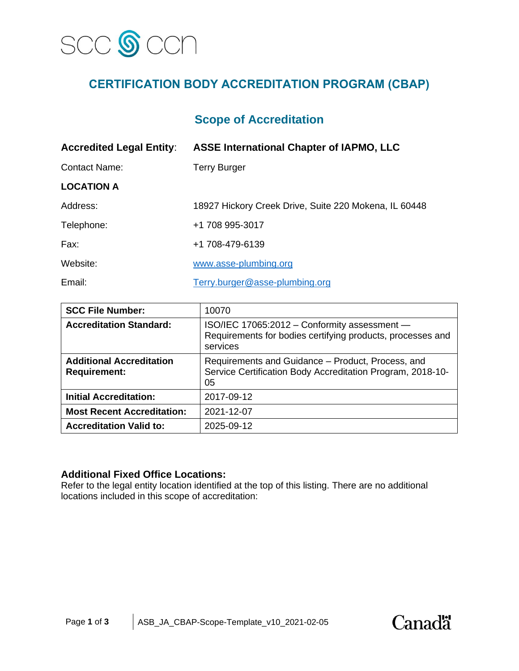

# **CERTIFICATION BODY ACCREDITATION PROGRAM (CBAP)**

## **Scope of Accreditation**

| <b>Accredited Legal Entity:</b> | <b>ASSE International Chapter of IAPMO, LLC</b>       |  |
|---------------------------------|-------------------------------------------------------|--|
| <b>Contact Name:</b>            | <b>Terry Burger</b>                                   |  |
| <b>LOCATION A</b>               |                                                       |  |
| Address:                        | 18927 Hickory Creek Drive, Suite 220 Mokena, IL 60448 |  |
| Telephone:                      | +1 708 995-3017                                       |  |
| Fax:                            | +1 708-479-6139                                       |  |
| Website:                        | www.asse-plumbing.org                                 |  |
| Email:                          | Terry.burger@asse-plumbing.org                        |  |

| <b>SCC File Number:</b>                                | 10070                                                                                                                  |
|--------------------------------------------------------|------------------------------------------------------------------------------------------------------------------------|
| <b>Accreditation Standard:</b>                         | ISO/IEC 17065:2012 - Conformity assessment -<br>Requirements for bodies certifying products, processes and<br>services |
| <b>Additional Accreditation</b><br><b>Requirement:</b> | Requirements and Guidance – Product, Process, and<br>Service Certification Body Accreditation Program, 2018-10-<br>05  |
| <b>Initial Accreditation:</b>                          | 2017-09-12                                                                                                             |
| <b>Most Recent Accreditation:</b>                      | 2021-12-07                                                                                                             |
| <b>Accreditation Valid to:</b>                         | 2025-09-12                                                                                                             |

#### **Additional Fixed Office Locations:**

Refer to the legal entity location identified at the top of this listing. There are no additional locations included in this scope of accreditation:

**Canadä**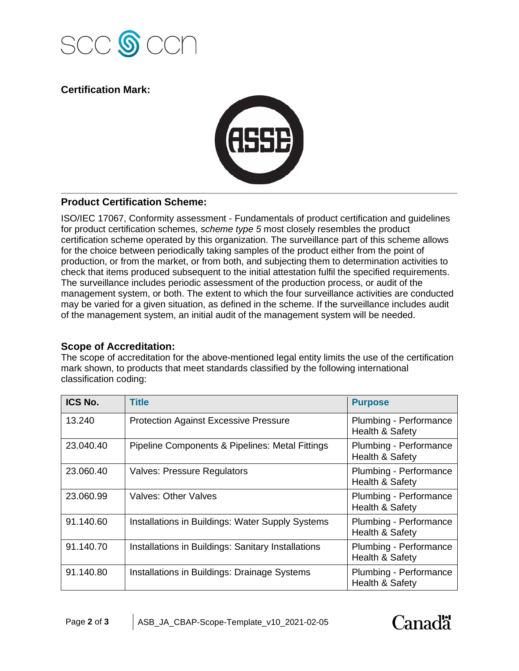

## **Certification Mark:**



## **Product Certification Scheme:**

ISO/IEC 17067, Conformity assessment - Fundamentals of product certification and guidelines for product certification schemes, *scheme type 5* most closely resembles the product certification scheme operated by this organization. The surveillance part of this scheme allows for the choice between periodically taking samples of the product either from the point of production, or from the market, or from both, and subjecting them to determination activities to check that items produced subsequent to the initial attestation fulfil the specified requirements. The surveillance includes periodic assessment of the production process, or audit of the management system, or both. The extent to which the four surveillance activities are conducted may be varied for a given situation, as defined in the scheme. If the surveillance includes audit of the management system, an initial audit of the management system will be needed.

## **Scope of Accreditation:**

The scope of accreditation for the above-mentioned legal entity limits the use of the certification mark shown, to products that meet standards classified by the following international classification coding:

| ICS No.   | <b>Title</b>                                       | <b>Purpose</b>                                       |
|-----------|----------------------------------------------------|------------------------------------------------------|
| 13.240    | <b>Protection Against Excessive Pressure</b>       | Plumbing - Performance<br>Health & Safety            |
| 23.040.40 | Pipeline Components & Pipelines: Metal Fittings    | Plumbing - Performance<br><b>Health &amp; Safety</b> |
| 23.060.40 | <b>Valves: Pressure Regulators</b>                 | Plumbing - Performance<br>Health & Safety            |
| 23.060.99 | <b>Valves: Other Valves</b>                        | Plumbing - Performance<br>Health & Safety            |
| 91.140.60 | Installations in Buildings: Water Supply Systems   | Plumbing - Performance<br><b>Health &amp; Safety</b> |
| 91.140.70 | Installations in Buildings: Sanitary Installations | Plumbing - Performance<br><b>Health &amp; Safety</b> |
| 91.140.80 | Installations in Buildings: Drainage Systems       | Plumbing - Performance<br><b>Health &amp; Safety</b> |